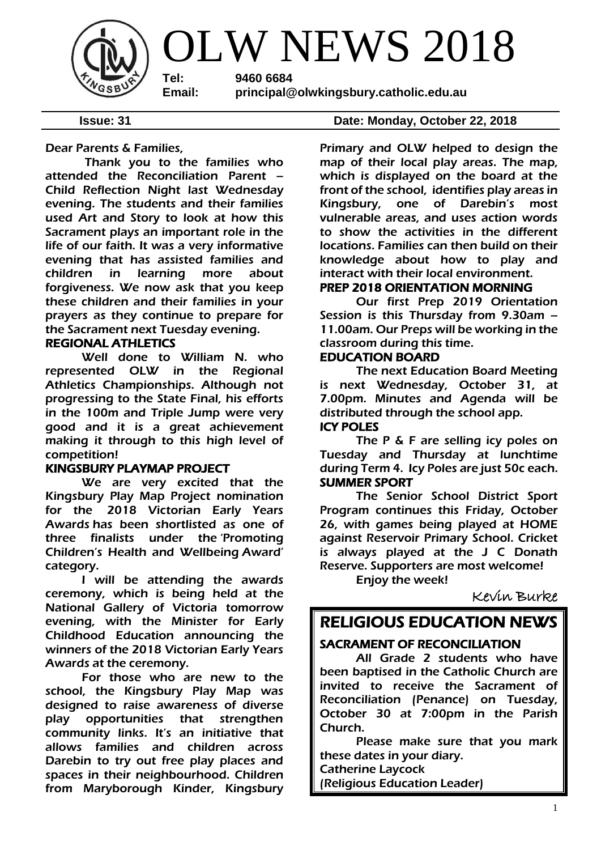

Dear Parents & Families,

Thank you to the families who attended the Reconciliation Parent – Child Reflection Night last Wednesday evening. The students and their families used Art and Story to look at how this Sacrament plays an important role in the life of our faith. It was a very informative evening that has assisted families and children in learning more about forgiveness. We now ask that you keep these children and their families in your prayers as they continue to prepare for the Sacrament next Tuesday evening.

### REGIONAL ATHLETICS

 Well done to William N. who represented OLW in the Regional Athletics Championships. Although not progressing to the State Final, his efforts in the 100m and Triple Jump were very good and it is a great achievement making it through to this high level of competition!

### KINGSBURY PLAYMAP PROJECT

We are very excited that the Kingsbury Play Map Project nomination for the 2018 Victorian Early Years Awards has been shortlisted as one of three finalists under the 'Promoting Children's Health and Wellbeing Award' category.

I will be attending the awards ceremony, which is being held at the National Gallery of Victoria tomorrow evening, with the Minister for Early Childhood Education announcing the winners of the 2018 Victorian Early Years Awards at the ceremony.

For those who are new to the school, the Kingsbury Play Map was designed to raise awareness of diverse play opportunities that strengthen community links. It's an initiative that allows families and children across Darebin to try out free play places and spaces in their neighbourhood. Children from Maryborough Kinder, Kingsbury

#### **Issue: 31 Date: Monday, October 22, 2018**

Primary and OLW helped to design the map of their local play areas. The map, which is displayed on the board at the front of the school, identifies play areas in Kingsbury, one of Darebin's most vulnerable areas, and uses action words to show the activities in the different locations. Families can then build on their knowledge about how to play and interact with their local environment.

### PREP 2018 ORIENTATION MORNING

 Our first Prep 2019 Orientation Session is this Thursday from 9.30am – 11.00am. Our Preps will be working in the classroom during this time.

### EDUCATION BOARD

 The next Education Board Meeting is next Wednesday, October 31, at 7.00pm. Minutes and Agenda will be distributed through the school app. ICY POLES

The P & F are selling icy poles on Tuesday and Thursday at lunchtime during Term 4. Icy Poles are just 50c each. SUMMER SPORT

The Senior School District Sport Program continues this Friday, October 26, with games being played at HOME against Reservoir Primary School. Cricket is always played at the J C Donath Reserve. Supporters are most welcome!

Enjoy the week!

Kevin Burke

### RELIGIOUS EDUCATION NEWS

### SACRAMENT OF RECONCILIATION

All Grade 2 students who have been baptised in the Catholic Church are invited to receive the Sacrament of Reconciliation (Penance) on Tuesday, October 30 at 7:00pm in the Parish Church.

Please make sure that you mark these dates in your diary.

Catherine Laycock (Religious Education Leader)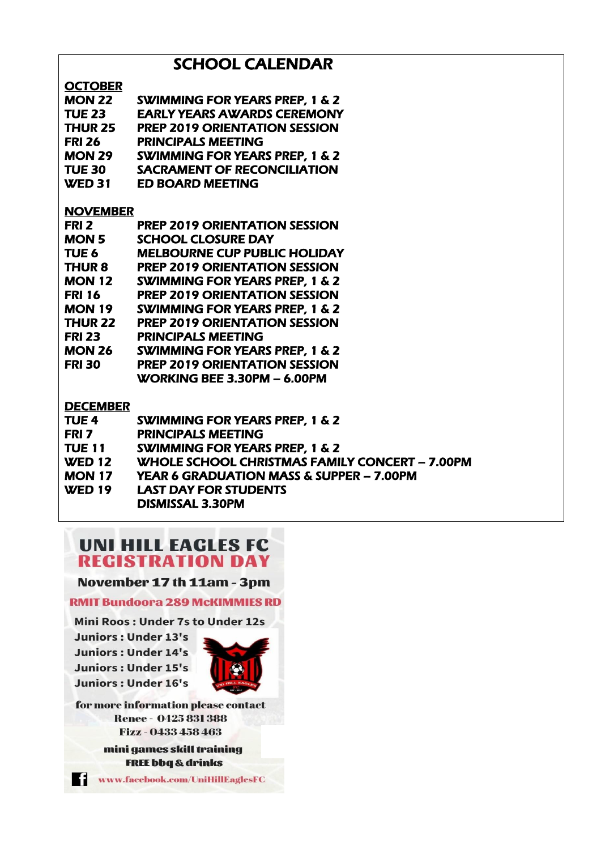### **SCHOOL CALENDAR**

**OCTORED** 

| <b>VLIVDEN</b>   |                                           |
|------------------|-------------------------------------------|
| <b>MON 22</b>    | <b>SWIMMING FOR YEARS PREP, 1 &amp; 2</b> |
| <b>TUE 23</b>    | <b>EARLY YEARS AWARDS CEREMONY</b>        |
| <b>THUR 25</b>   | <b>PREP 2019 ORIENTATION SESSION</b>      |
| <b>FRI 26</b>    | <b>PRINCIPALS MEETING</b>                 |
| <b>MON 29</b>    | <b>SWIMMING FOR YEARS PREP, 1 &amp; 2</b> |
| <b>TUE 30</b>    | <b>SACRAMENT OF RECONCILIATION</b>        |
| <b>WED 31</b>    | <b>ED BOARD MEETING</b>                   |
| <b>NOVEMBER</b>  |                                           |
| FRI <sub>2</sub> | <b>PREP 2019 ORIENTATION SESSION</b>      |
| <b>MON 5</b>     | <b>SCHOOL CLOSURE DAY</b>                 |
| TUE <sub>6</sub> | <b>MELBOURNE CUP PUBLIC HOLIDAY</b>       |
| <b>THUR 8</b>    | <b>PREP 2019 ORIENTATION SESSION</b>      |
| <b>MON 12</b>    | <b>SWIMMING FOR YEARS PREP, 1 &amp; 2</b> |
| <b>FRI 16</b>    | <b>PREP 2019 ORIENTATION SESSION</b>      |
| <b>MON 19</b>    | <b>SWIMMING FOR YEARS PREP, 1 &amp; 2</b> |
| <b>THUR 22</b>   | <b>PREP 2019 ORIENTATION SESSION</b>      |
| <b>FRI 23</b>    | <b>PRINCIPALS MEETING</b>                 |
| <b>MON 26</b>    | <b>SWIMMING FOR YEARS PREP, 1 &amp; 2</b> |
| <b>FRI 30</b>    | <b>PREP 2019 ORIENTATION SESSION</b>      |
|                  | WORKING BEE 3.30PM - 6.00PM               |
| <b>DECEMBER</b>  |                                           |
| TUE <sub>4</sub> | SWIMMING FOR YEARS PREP. 1 & 2            |

| TUE 4         | <b>SWIMMING FOR YEARS PREP, 1 &amp; 2</b>           |
|---------------|-----------------------------------------------------|
| FRI 7         | <b>PRINCIPALS MEETING</b>                           |
| <b>TUE 11</b> | <b>SWIMMING FOR YEARS PREP, 1 &amp; 2</b>           |
| <b>WED 12</b> | WHOLE SCHOOL CHRISTMAS FAMILY CONCERT - 7.00PM      |
| <b>MON 17</b> | <b>YEAR 6 GRADUATION MASS &amp; SUPPER - 7.00PM</b> |
| <b>WED 19</b> | <b>LAST DAY FOR STUDENTS</b>                        |
|               | DISMISSAL 3.30PM                                    |

## **UNI HILL EAGLES FC REGISTRATION DAY**

November 17 th 11am - 3pm

**RMIT Bundoora 289 McKIMMIES RD** 

Mini Roos: Under 7s to Under 12s

**Juniors: Under 13's Juniors: Under 14's Juniors: Under 15's Juniors: Under 16's** 



for more information please contact **Renee - 0425 831 388** Fizz - 0433 458 463

> mini games skill training **FREE bbq & drinks**

www.facebook.com/UniHillEaglesFC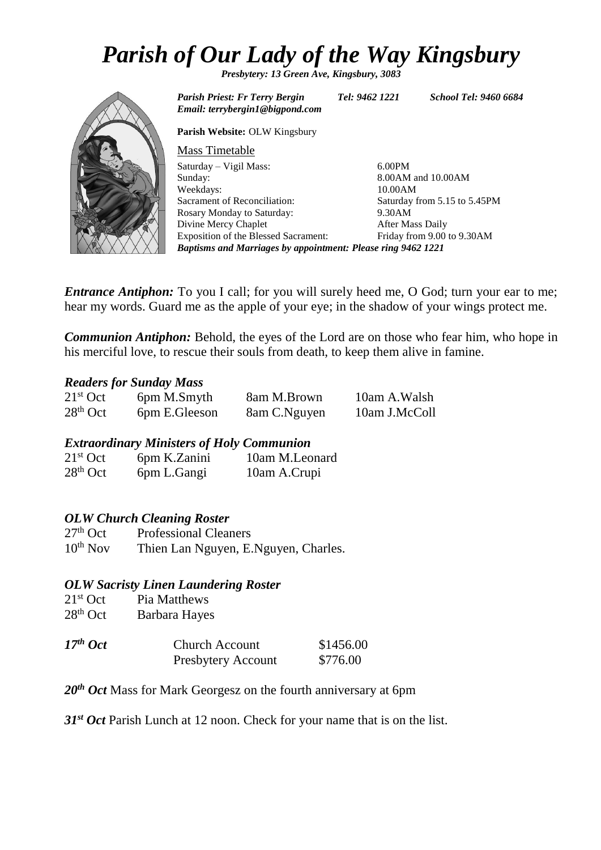# *Parish of Our Lady of the Way Kingsbury*

*Presbytery: 13 Green Ave, Kingsbury, 3083*



*Email: terrybergin1@bigpond.com* **Parish Website:** OLW Kingsbury Mass Timetable Saturday – Vigil Mass: Sunday: Weekdays: Sacrament of Reconciliation: Rosary Monday to Saturday: Divine Mercy Chaplet Exposition of the Blessed Sacrament: 6.00PM 8.00AM and 10.00AM 10.00AM Saturday from 5.15 to 5.45PM 9.30AM After Mass Daily Friday from 9.00 to 9.30AM *Baptisms and Marriages by appointment: Please ring 9462 1221*

*Entrance Antiphon:* To you I call; for you will surely heed me, O God; turn your ear to me; hear my words. Guard me as the apple of your eye; in the shadow of your wings protect me.

*Communion Antiphon:* Behold, the eyes of the Lord are on those who fear him, who hope in his merciful love, to rescue their souls from death, to keep them alive in famine.

### *Readers for Sunday Mass*

| $21st$ Oct | 6pm M.Smyth   | 8am M.Brown  | 10am A.Walsh  |
|------------|---------------|--------------|---------------|
| $28th$ Oct | 6pm E.Gleeson | 8am C.Nguyen | 10am J.McColl |

### *Extraordinary Ministers of Holy Communion*

| $21st$ Oct | 6pm K.Zanini | 10am M.Leonard |
|------------|--------------|----------------|
| $28th$ Oct | 6pm L.Gangi  | 10am A.Crupi   |

### *OLW Church Cleaning Roster*

| $27th$ Oct    | <b>Professional Cleaners</b>         |
|---------------|--------------------------------------|
| $10^{th}$ Nov | Thien Lan Nguyen, E.Nguyen, Charles. |

### *OLW Sacristy Linen Laundering Roster*

| $21st$ Oct | Pia Matthews  |
|------------|---------------|
| $28th$ Oct | Barbara Hayes |
|            |               |

| $17th$ Oct | <b>Church Account</b>     | \$1456.00 |
|------------|---------------------------|-----------|
|            | <b>Presbytery Account</b> | \$776.00  |

20<sup>th</sup> *Oct* Mass for Mark Georgesz on the fourth anniversary at 6pm

*31st Oct* Parish Lunch at 12 noon. Check for your name that is on the list.